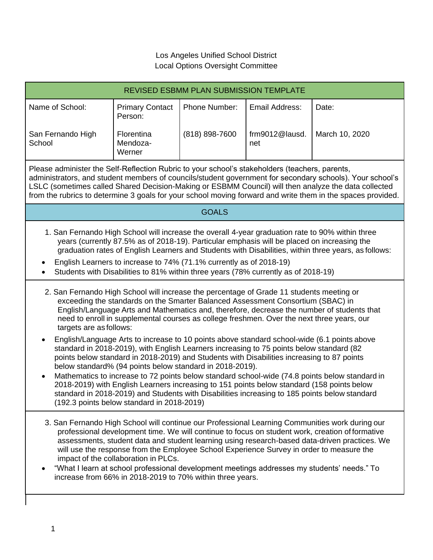## Los Angeles Unified School District Local Options Oversight Committee

| <b>REVISED ESBMM PLAN SUBMISSION TEMPLATE</b>                                                                                                                                                                                                                                                                                                                                                                                                                                                                                                                                                                                                                                                                 |                                   |                |                       |                |
|---------------------------------------------------------------------------------------------------------------------------------------------------------------------------------------------------------------------------------------------------------------------------------------------------------------------------------------------------------------------------------------------------------------------------------------------------------------------------------------------------------------------------------------------------------------------------------------------------------------------------------------------------------------------------------------------------------------|-----------------------------------|----------------|-----------------------|----------------|
| Name of School:                                                                                                                                                                                                                                                                                                                                                                                                                                                                                                                                                                                                                                                                                               | <b>Primary Contact</b><br>Person: | Phone Number:  | Email Address:        | Date:          |
| San Fernando High<br>School                                                                                                                                                                                                                                                                                                                                                                                                                                                                                                                                                                                                                                                                                   | Florentina<br>Mendoza-<br>Werner  | (818) 898-7600 | frm9012@lausd.<br>net | March 10, 2020 |
| Please administer the Self-Reflection Rubric to your school's stakeholders (teachers, parents,<br>administrators, and student members of councils/student government for secondary schools). Your school's<br>LSLC (sometimes called Shared Decision-Making or ESBMM Council) will then analyze the data collected<br>from the rubrics to determine 3 goals for your school moving forward and write them in the spaces provided.                                                                                                                                                                                                                                                                             |                                   |                |                       |                |
| <b>GOALS</b>                                                                                                                                                                                                                                                                                                                                                                                                                                                                                                                                                                                                                                                                                                  |                                   |                |                       |                |
| 1. San Fernando High School will increase the overall 4-year graduation rate to 90% within three<br>years (currently 87.5% as of 2018-19). Particular emphasis will be placed on increasing the<br>graduation rates of English Learners and Students with Disabilities, within three years, as follows:<br>English Learners to increase to 74% (71.1% currently as of 2018-19)<br>$\bullet$<br>Students with Disabilities to 81% within three years (78% currently as of 2018-19)                                                                                                                                                                                                                             |                                   |                |                       |                |
| 2. San Fernando High School will increase the percentage of Grade 11 students meeting or<br>exceeding the standards on the Smarter Balanced Assessment Consortium (SBAC) in<br>English/Language Arts and Mathematics and, therefore, decrease the number of students that<br>need to enroll in supplemental courses as college freshmen. Over the next three years, our<br>targets are as follows:                                                                                                                                                                                                                                                                                                            |                                   |                |                       |                |
| English/Language Arts to increase to 10 points above standard school-wide (6.1 points above<br>standard in 2018-2019), with English Learners increasing to 75 points below standard (82<br>points below standard in 2018-2019) and Students with Disabilities increasing to 87 points<br>below standard% (94 points below standard in 2018-2019).<br>Mathematics to increase to 72 points below standard school-wide (74.8 points below standard in<br>$\bullet$<br>2018-2019) with English Learners increasing to 151 points below standard (158 points below<br>standard in 2018-2019) and Students with Disabilities increasing to 185 points below standard<br>(192.3 points below standard in 2018-2019) |                                   |                |                       |                |
| 3. San Fernando High School will continue our Professional Learning Communities work during our<br>professional development time. We will continue to focus on student work, creation of formative<br>assessments, student data and student learning using research-based data-driven practices. We<br>will use the response from the Employee School Experience Survey in order to measure the<br>impact of the collaboration in PLCs.<br>"What I learn at school professional development meetings addresses my students' needs." To<br>increase from 66% in 2018-2019 to 70% within three years.                                                                                                           |                                   |                |                       |                |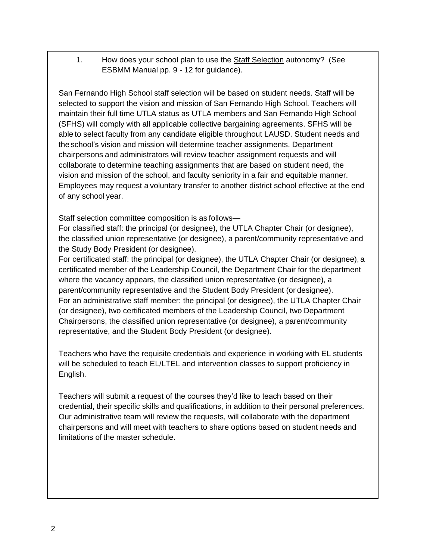1. How does your school plan to use the Staff Selection autonomy? (See ESBMM Manual pp. 9 - 12 for guidance).

San Fernando High School staff selection will be based on student needs. Staff will be selected to support the vision and mission of San Fernando High School. Teachers will maintain their full time UTLA status as UTLA members and San Fernando High School (SFHS) will comply with all applicable collective bargaining agreements. SFHS will be able to select faculty from any candidate eligible throughout LAUSD. Student needs and the school's vision and mission will determine teacher assignments. Department chairpersons and administrators will review teacher assignment requests and will collaborate to determine teaching assignments that are based on student need, the vision and mission of the school, and faculty seniority in a fair and equitable manner. Employees may request a voluntary transfer to another district school effective at the end of any school year.

Staff selection committee composition is as follows—

For classified staff: the principal (or designee), the UTLA Chapter Chair (or designee), the classified union representative (or designee), a parent/community representative and the Study Body President (or designee).

For certificated staff: the principal (or designee), the UTLA Chapter Chair (or designee), a certificated member of the Leadership Council, the Department Chair for the department where the vacancy appears, the classified union representative (or designee), a parent/community representative and the Student Body President (or designee). For an administrative staff member: the principal (or designee), the UTLA Chapter Chair (or designee), two certificated members of the Leadership Council, two Department Chairpersons, the classified union representative (or designee), a parent/community representative, and the Student Body President (or designee).

Teachers who have the requisite credentials and experience in working with EL students will be scheduled to teach EL/LTEL and intervention classes to support proficiency in English.

Teachers will submit a request of the courses they'd like to teach based on their credential, their specific skills and qualifications, in addition to their personal preferences. Our administrative team will review the requests, will collaborate with the department chairpersons and will meet with teachers to share options based on student needs and limitations of the master schedule.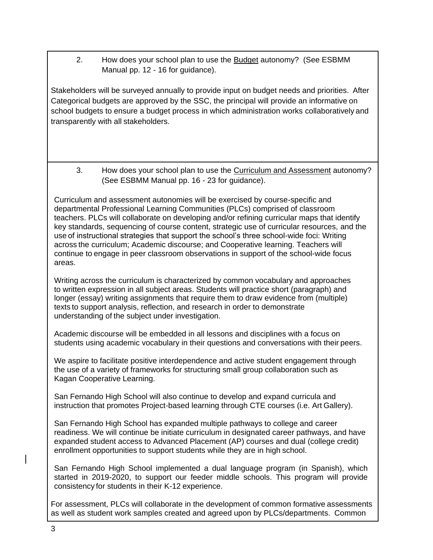2. How does your school plan to use the Budget autonomy? (See ESBMM Manual pp. 12 - 16 for guidance).

Stakeholders will be surveyed annually to provide input on budget needs and priorities. After Categorical budgets are approved by the SSC, the principal will provide an informative on school budgets to ensure a budget process in which administration works collaboratively and transparently with all stakeholders.

3. How does your school plan to use the Curriculum and Assessment autonomy? (See ESBMM Manual pp. 16 - 23 for guidance).

Curriculum and assessment autonomies will be exercised by course-specific and departmental Professional Learning Communities (PLCs) comprised of classroom teachers. PLCs will collaborate on developing and/or refining curricular maps that identify key standards, sequencing of course content, strategic use of curricular resources, and the use of instructional strategies that support the school's three school-wide foci: Writing across the curriculum; Academic discourse; and Cooperative learning. Teachers will continue to engage in peer classroom observations in support of the school-wide focus areas.

Writing across the curriculum is characterized by common vocabulary and approaches to written expression in all subject areas. Students will practice short (paragraph) and longer (essay) writing assignments that require them to draw evidence from (multiple) texts to support analysis, reflection, and research in order to demonstrate understanding of the subject under investigation.

Academic discourse will be embedded in all lessons and disciplines with a focus on students using academic vocabulary in their questions and conversations with their peers.

We aspire to facilitate positive interdependence and active student engagement through the use of a variety of frameworks for structuring small group collaboration such as Kagan Cooperative Learning.

San Fernando High School will also continue to develop and expand curricula and instruction that promotes Project-based learning through CTE courses (i.e. Art Gallery).

San Fernando High School has expanded multiple pathways to college and career readiness. We will continue be initiate curriculum in designated career pathways, and have expanded student access to Advanced Placement (AP) courses and dual (college credit) enrollment opportunities to support students while they are in high school.

San Fernando High School implemented a dual language program (in Spanish), which started in 2019-2020, to support our feeder middle schools. This program will provide consistency for students in their K-12 experience.

For assessment, PLCs will collaborate in the development of common formative assessments as well as student work samples created and agreed upon by PLCs/departments. Common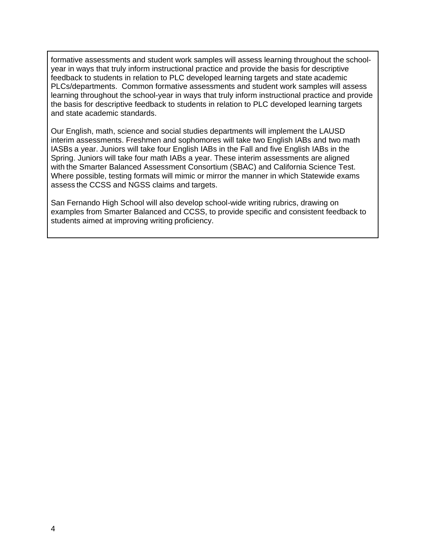formative assessments and student work samples will assess learning throughout the schoolyear in ways that truly inform instructional practice and provide the basis for descriptive feedback to students in relation to PLC developed learning targets and state academic PLCs/departments. Common formative assessments and student work samples will assess learning throughout the school-year in ways that truly inform instructional practice and provide the basis for descriptive feedback to students in relation to PLC developed learning targets and state academic standards.

Our English, math, science and social studies departments will implement the LAUSD interim assessments. Freshmen and sophomores will take two English IABs and two math IASBs a year. Juniors will take four English IABs in the Fall and five English IABs in the Spring. Juniors will take four math IABs a year. These interim assessments are aligned with the Smarter Balanced Assessment Consortium (SBAC) and California Science Test. Where possible, testing formats will mimic or mirror the manner in which Statewide exams assess the CCSS and NGSS claims and targets.

San Fernando High School will also develop school-wide writing rubrics, drawing on examples from Smarter Balanced and CCSS, to provide specific and consistent feedback to students aimed at improving writing proficiency.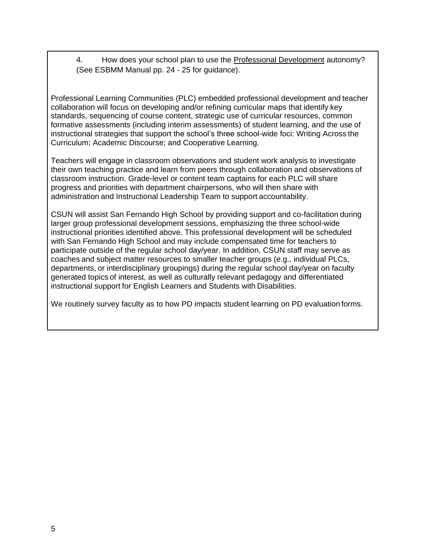4. How does your school plan to use the Professional Development autonomy? (See ESBMM Manual pp. 24 - 25 for guidance).

Professional Learning Communities (PLC) embedded professional development and teacher collaboration will focus on developing and/or refining curricular maps that identify key standards, sequencing of course content, strategic use of curricular resources, common formative assessments (including interim assessments) of student learning, and the use of instructional strategies that support the school's three school-wide foci: Writing Across the Curriculum; Academic Discourse; and Cooperative Learning.

Teachers will engage in classroom observations and student work analysis to investigate their own teaching practice and learn from peers through collaboration and observations of classroom instruction. Grade-level or content team captains for each PLC will share progress and priorities with department chairpersons, who will then share with administration and Instructional Leadership Team to support accountability.

CSUN will assist San Fernando High School by providing support and co-facilitation during larger group professional development sessions, emphasizing the three school-wide instructional priorities identified above. This professional development will be scheduled with San Fernando High School and may include compensated time for teachers to participate outside of the regular school day/year. In addition, CSUN staff may serve as coaches and subject matter resources to smaller teacher groups (e.g., individual PLCs, departments, or interdisciplinary groupings) during the regular school day/year on faculty generated topics of interest, as well as culturally relevant pedagogy and differentiated instructional support for English Learners and Students with Disabilities.

We routinely survey faculty as to how PD impacts student learning on PD evaluation forms.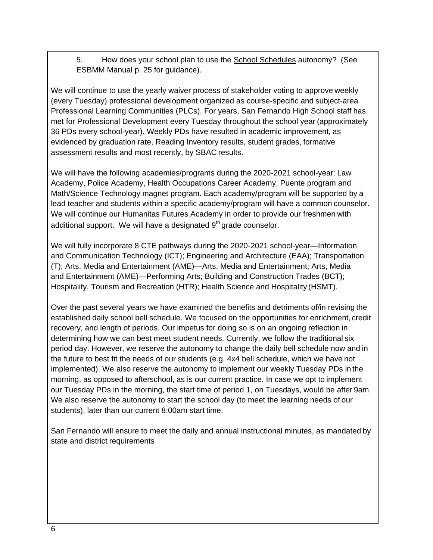5. How does your school plan to use the School Schedules autonomy? (See ESBMM Manual p. 25 for guidance).

We will continue to use the yearly waiver process of stakeholder voting to approve weekly (every Tuesday) professional development organized as course-specific and subject-area Professional Learning Communities (PLCs). For years, San Fernando High School staff has met for Professional Development every Tuesday throughout the school year (approximately 36 PDs every school-year). Weekly PDs have resulted in academic improvement, as evidenced by graduation rate, Reading Inventory results, student grades, formative assessment results and most recently, by SBAC results.

We will have the following academies/programs during the 2020-2021 school-year: Law Academy, Police Academy, Health Occupations Career Academy, Puente program and Math/Science Technology magnet program. Each academy/program will be supported by a lead teacher and students within a specific academy/program will have a common counselor. We will continue our Humanitas Futures Academy in order to provide our freshmen with additional support. We will have a designated  $9<sup>th</sup>$  grade counselor.

We will fully incorporate 8 CTE pathways during the 2020-2021 school-year—Information and Communication Technology (ICT); Engineering and Architecture (EAA); Transportation (T); Arts, Media and Entertainment (AME)—Arts, Media and Entertainment; Arts, Media and Entertainment (AME)—Performing Arts; Building and Construction Trades (BCT); Hospitality, Tourism and Recreation (HTR); Health Science and Hospitality (HSMT).

Over the past several years we have examined the benefits and detriments of/in revising the established daily school bell schedule. We focused on the opportunities for enrichment, credit recovery, and length of periods. Our impetus for doing so is on an ongoing reflection in determining how we can best meet student needs. Currently, we follow the traditional six period day. However, we reserve the autonomy to change the daily bell schedule now and in the future to best fit the needs of our students (e.g. 4x4 bell schedule, which we have not implemented). We also reserve the autonomy to implement our weekly Tuesday PDs in the morning, as opposed to afterschool, as is our current practice. In case we opt to implement our Tuesday PDs in the morning, the start time of period 1, on Tuesdays, would be after 9am. We also reserve the autonomy to start the school day (to meet the learning needs of our students), later than our current 8:00am start time.

San Fernando will ensure to meet the daily and annual instructional minutes, as mandated by state and district requirements